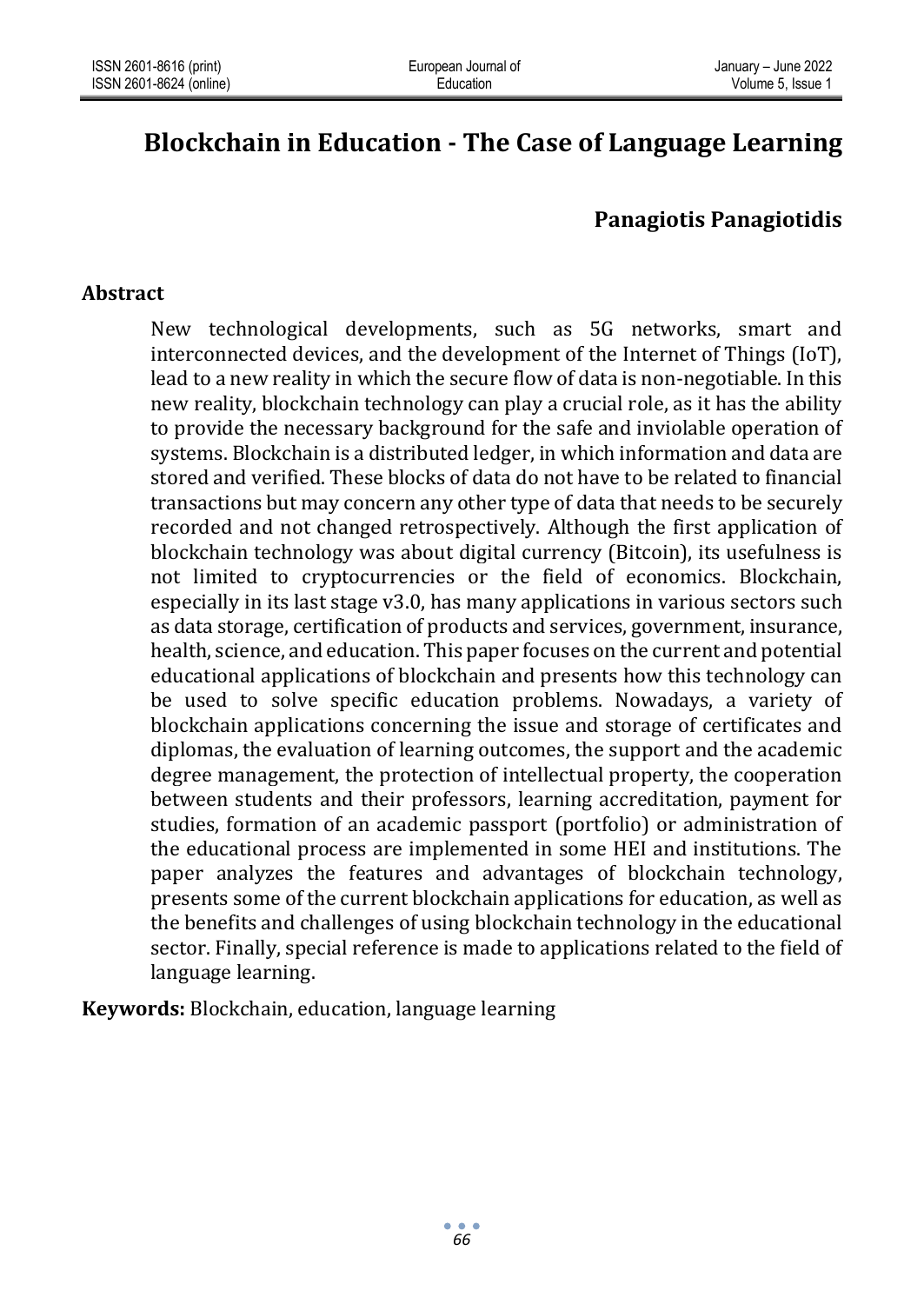# **Blockchain in Education - The Case of Language Learning**

# **Panagiotis Panagiotidis**

## **Abstract**

New technological developments, such as 5G networks, smart and interconnected devices, and the development of the Internet of Things (IoT), lead to a new reality in which the secure flow of data is non-negotiable. In this new reality, blockchain technology can play a crucial role, as it has the ability to provide the necessary background for the safe and inviolable operation of systems. Blockchain is a distributed ledger, in which information and data are stored and verified. These blocks of data do not have to be related to financial transactions but may concern any other type of data that needs to be securely recorded and not changed retrospectively. Although the first application of blockchain technology was about digital currency (Bitcoin), its usefulness is not limited to cryptocurrencies or the field of economics. Blockchain, especially in its last stage v3.0, has many applications in various sectors such as data storage, certification of products and services, government, insurance, health, science, and education. This paper focuses on the current and potential educational applications of blockchain and presents how this technology can be used to solve specific education problems. Nowadays, a variety of blockchain applications concerning the issue and storage of certificates and diplomas, the evaluation of learning outcomes, the support and the academic degree management, the protection of intellectual property, the cooperation between students and their professors, learning accreditation, payment for studies, formation of an academic passport (portfolio) or administration of the educational process are implemented in some HEI and institutions. The paper analyzes the features and advantages of blockchain technology, presents some of the current blockchain applications for education, as well as the benefits and challenges of using blockchain technology in the educational sector. Finally, special reference is made to applications related to the field of language learning.

**Keywords:** Blockchain, education, language learning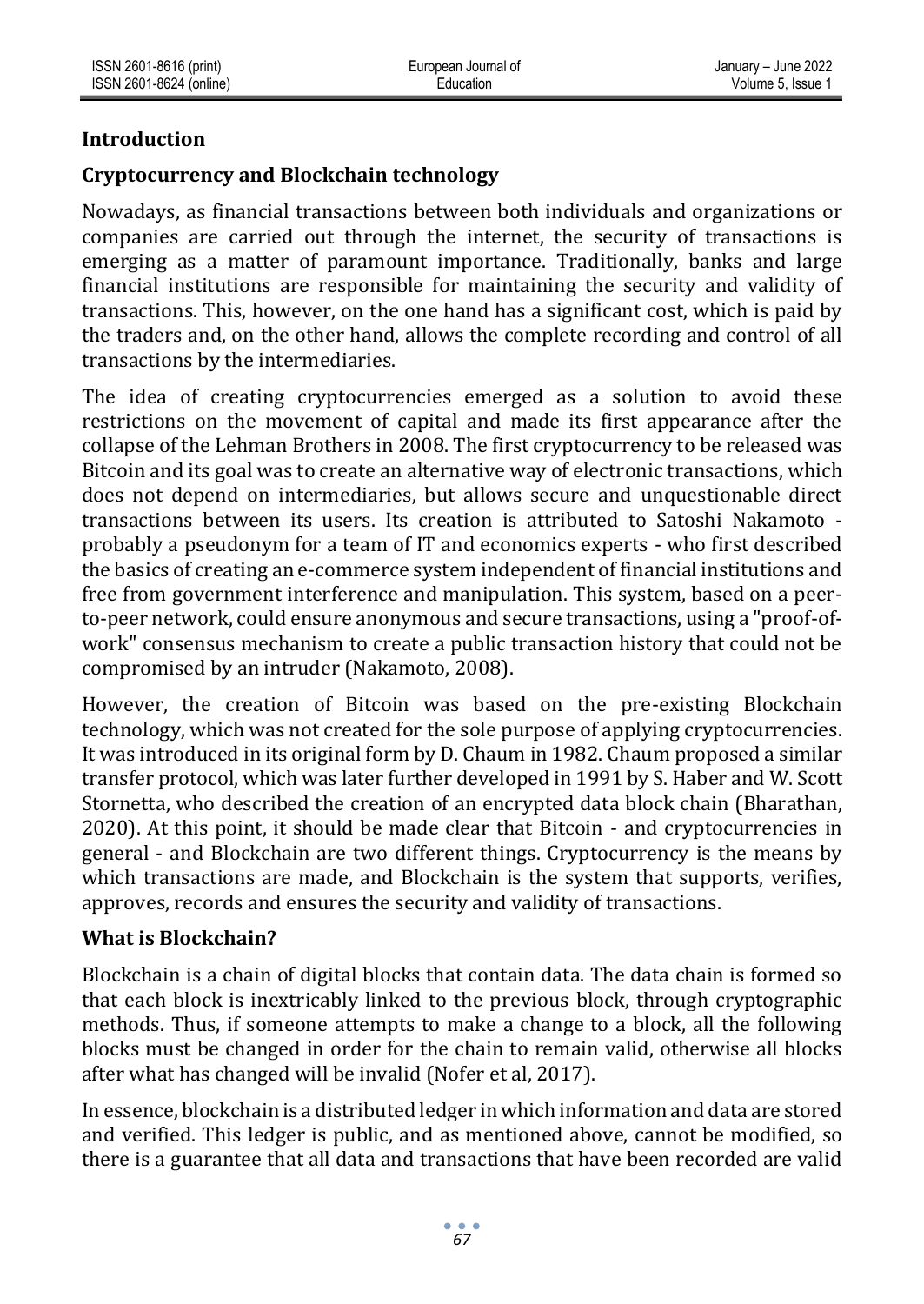## **Introduction**

## **Cryptocurrency and Blockchain technology**

Nowadays, as financial transactions between both individuals and organizations or companies are carried out through the internet, the security of transactions is emerging as a matter of paramount importance. Traditionally, banks and large financial institutions are responsible for maintaining the security and validity of transactions. This, however, on the one hand has a significant cost, which is paid by the traders and, on the other hand, allows the complete recording and control of all transactions by the intermediaries.

The idea of creating cryptocurrencies emerged as a solution to avoid these restrictions on the movement of capital and made its first appearance after the collapse of the Lehman Brothers in 2008. The first cryptocurrency to be released was Bitcoin and its goal was to create an alternative way of electronic transactions, which does not depend on intermediaries, but allows secure and unquestionable direct transactions between its users. Its creation is attributed to Satoshi Nakamoto probably a pseudonym for a team of IT and economics experts - who first described the basics of creating an e-commerce system independent of financial institutions and free from government interference and manipulation. This system, based on a peerto-peer network, could ensure anonymous and secure transactions, using a "proof-ofwork" consensus mechanism to create a public transaction history that could not be compromised by an intruder (Nakamoto, 2008).

However, the creation of Bitcoin was based on the pre-existing Blockchain technology, which was not created for the sole purpose of applying cryptocurrencies. It was introduced in its original form by D. Chaum in 1982. Chaum proposed a similar transfer protocol, which was later further developed in 1991 by S. Haber and W. Scott Stornetta, who described the creation of an encrypted data block chain (Bharathan, 2020). At this point, it should be made clear that Bitcoin - and cryptocurrencies in general - and Blockchain are two different things. Cryptocurrency is the means by which transactions are made, and Blockchain is the system that supports, verifies, approves, records and ensures the security and validity of transactions.

#### **What is Blockchain?**

Blockchain is a chain of digital blocks that contain data. The data chain is formed so that each block is inextricably linked to the previous block, through cryptographic methods. Thus, if someone attempts to make a change to a block, all the following blocks must be changed in order for the chain to remain valid, otherwise all blocks after what has changed will be invalid (Nofer et al, 2017).

In essence, blockchain is a distributed ledger in which information and data are stored and verified. This ledger is public, and as mentioned above, cannot be modified, so there is a guarantee that all data and transactions that have been recorded are valid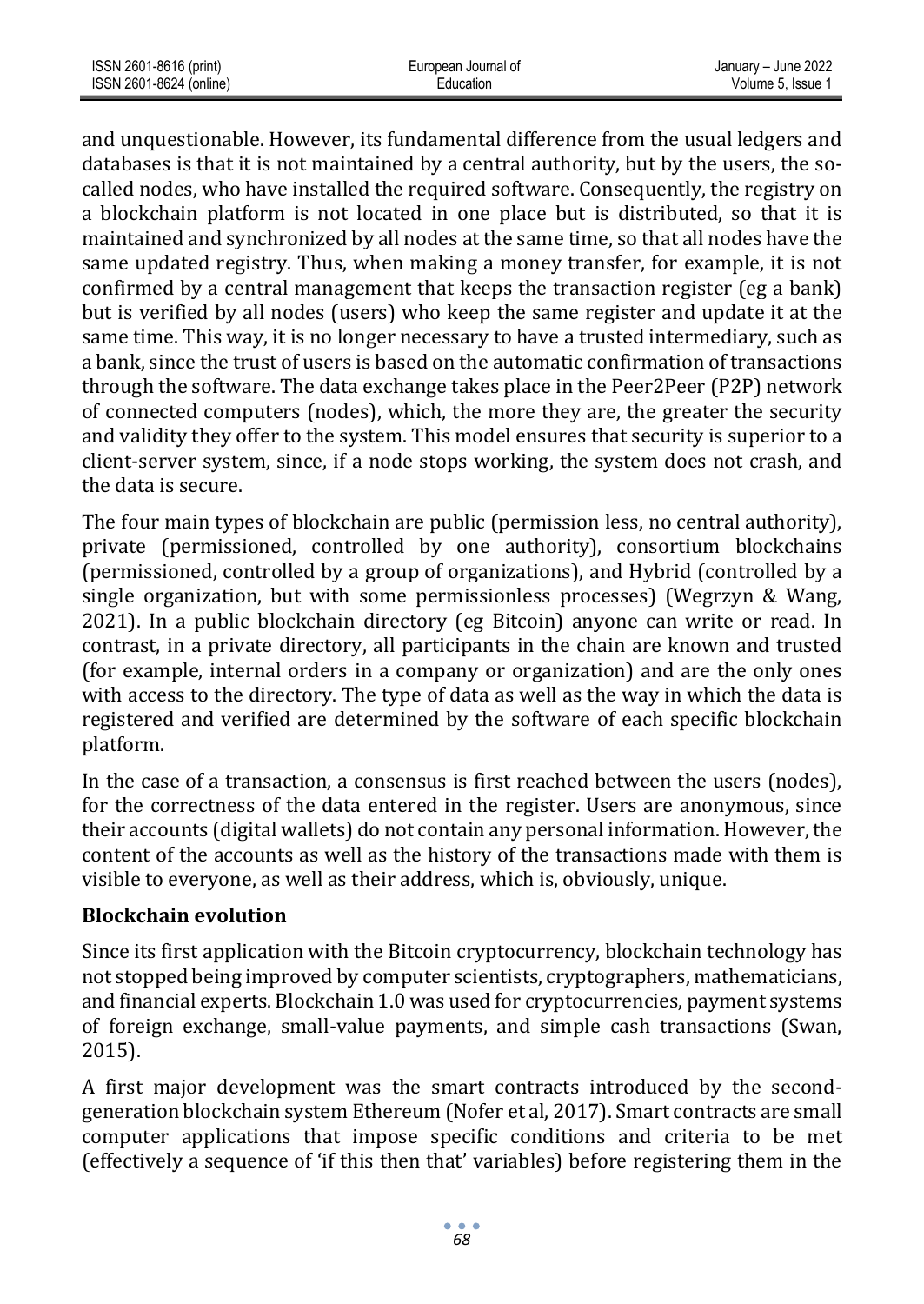| ISSN 2601-8616 (print)  | European Journal of | January - June 2022 |
|-------------------------|---------------------|---------------------|
| ISSN 2601-8624 (online) | Education           | Volume 5. Issue 1   |

and unquestionable. However, its fundamental difference from the usual ledgers and databases is that it is not maintained by a central authority, but by the users, the socalled nodes, who have installed the required software. Consequently, the registry on a blockchain platform is not located in one place but is distributed, so that it is maintained and synchronized by all nodes at the same time, so that all nodes have the same updated registry. Thus, when making a money transfer, for example, it is not confirmed by a central management that keeps the transaction register (eg a bank) but is verified by all nodes (users) who keep the same register and update it at the same time. This way, it is no longer necessary to have a trusted intermediary, such as a bank, since the trust of users is based on the automatic confirmation of transactions through the software. The data exchange takes place in the Peer2Peer (P2P) network of connected computers (nodes), which, the more they are, the greater the security and validity they offer to the system. This model ensures that security is superior to a client-server system, since, if a node stops working, the system does not crash, and the data is secure.

The four main types of blockchain are public (permission less, no central authority), private (permissioned, controlled by one authority), consortium blockchains (permissioned, controlled by a group of organizations), and Hybrid (controlled by a single organization, but with some permissionless processes) (Wegrzyn & Wang, 2021). In a public blockchain directory (eg Bitcoin) anyone can write or read. In contrast, in a private directory, all participants in the chain are known and trusted (for example, internal orders in a company or organization) and are the only ones with access to the directory. The type of data as well as the way in which the data is registered and verified are determined by the software of each specific blockchain platform.

In the case of a transaction, a consensus is first reached between the users (nodes), for the correctness of the data entered in the register. Users are anonymous, since their accounts (digital wallets) do not contain any personal information. However, the content of the accounts as well as the history of the transactions made with them is visible to everyone, as well as their address, which is, obviously, unique.

#### **Blockchain evolution**

Since its first application with the Bitcoin cryptocurrency, blockchain technology has not stopped being improved by computer scientists, cryptographers, mathematicians, and financial experts. Blockchain 1.0 was used for cryptocurrencies, payment systems of foreign exchange, small-value payments, and simple cash transactions (Swan, 2015).

A first major development was the smart contracts introduced by the secondgeneration blockchain system Ethereum (Nofer et al, 2017). Smart contracts are small computer applications that impose specific conditions and criteria to be met (effectively a sequence of 'if this then that' variables) before registering them in the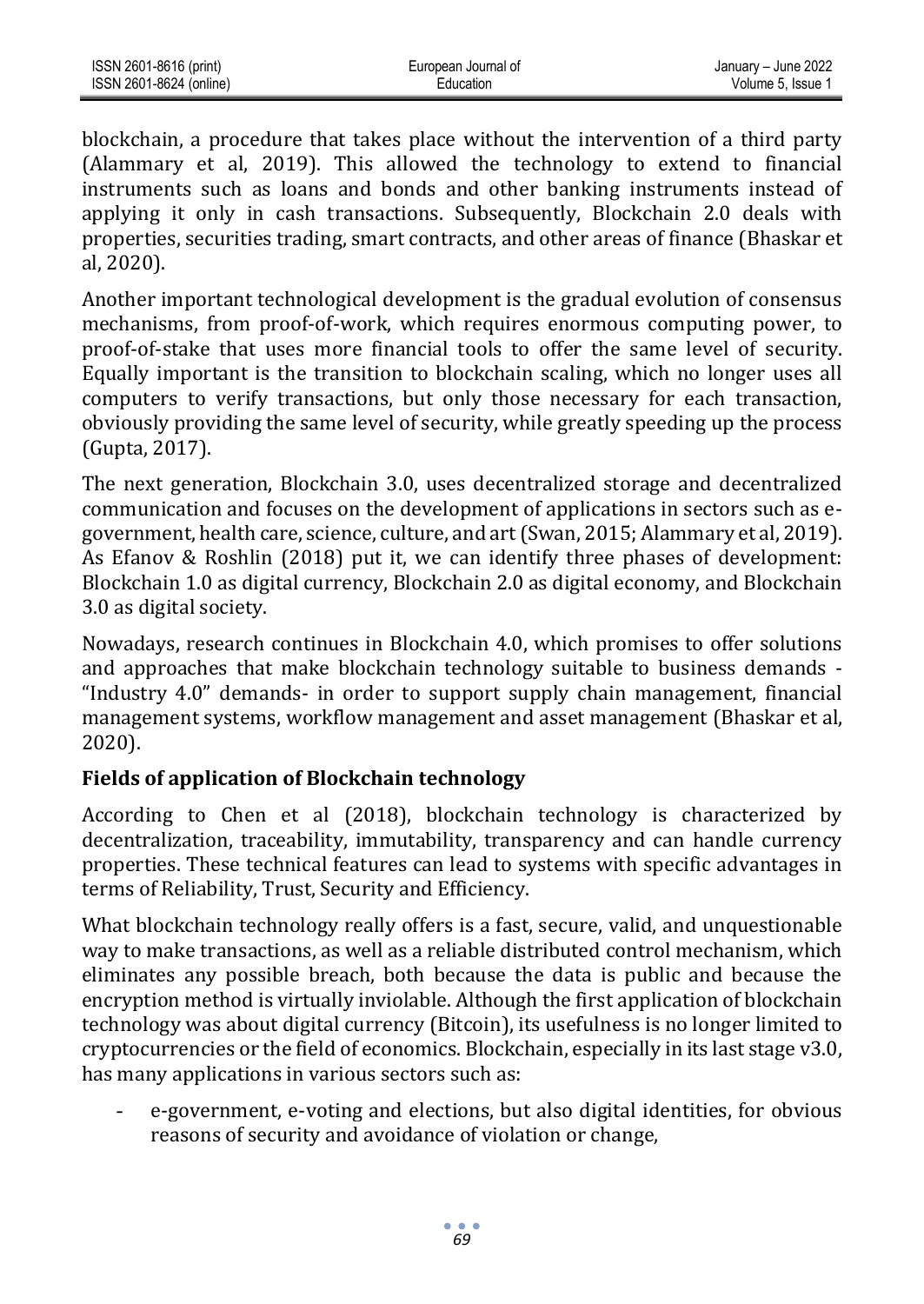| ISSN 2601-8616 (print)  | European Journal of | January - June 2022 |
|-------------------------|---------------------|---------------------|
| ISSN 2601-8624 (online) | Education           | Volume 5. Issue 1   |

blockchain, a procedure that takes place without the intervention of a third party (Alammary et al, 2019). This allowed the technology to extend to financial instruments such as loans and bonds and other banking instruments instead of applying it only in cash transactions. Subsequently, Blockchain 2.0 deals with properties, securities trading, smart contracts, and other areas of finance (Bhaskar et al, 2020).

Another important technological development is the gradual evolution of consensus mechanisms, from proof-of-work, which requires enormous computing power, to proof-of-stake that uses more financial tools to offer the same level of security. Equally important is the transition to blockchain scaling, which no longer uses all computers to verify transactions, but only those necessary for each transaction, obviously providing the same level of security, while greatly speeding up the process (Gupta, 2017).

The next generation, Blockchain 3.0, uses decentralized storage and decentralized communication and focuses on the development of applications in sectors such as egovernment, health care, science, culture, and art (Swan, 2015; Alammary et al, 2019). As Efanov & Roshlin (2018) put it, we can identify three phases of development: Blockchain 1.0 as digital currency, Blockchain 2.0 as digital economy, and Blockchain 3.0 as digital society.

Nowadays, research continues in Blockchain 4.0, which promises to offer solutions and approaches that make blockchain technology suitable to business demands - "Industry 4.0" demands- in order to support supply chain management, financial management systems, workflow management and asset management (Bhaskar et al, 2020).

## **Fields of application of Blockchain technology**

According to Chen et al (2018), blockchain technology is characterized by decentralization, traceability, immutability, transparency and can handle currency properties. These technical features can lead to systems with specific advantages in terms of Reliability, Trust, Security and Efficiency.

What blockchain technology really offers is a fast, secure, valid, and unquestionable way to make transactions, as well as a reliable distributed control mechanism, which eliminates any possible breach, both because the data is public and because the encryption method is virtually inviolable. Although the first application of blockchain technology was about digital currency (Bitcoin), its usefulness is no longer limited to cryptocurrencies or the field of economics. Blockchain, especially in its last stage v3.0, has many applications in various sectors such as:

- e-government, e-voting and elections, but also digital identities, for obvious reasons of security and avoidance of violation or change,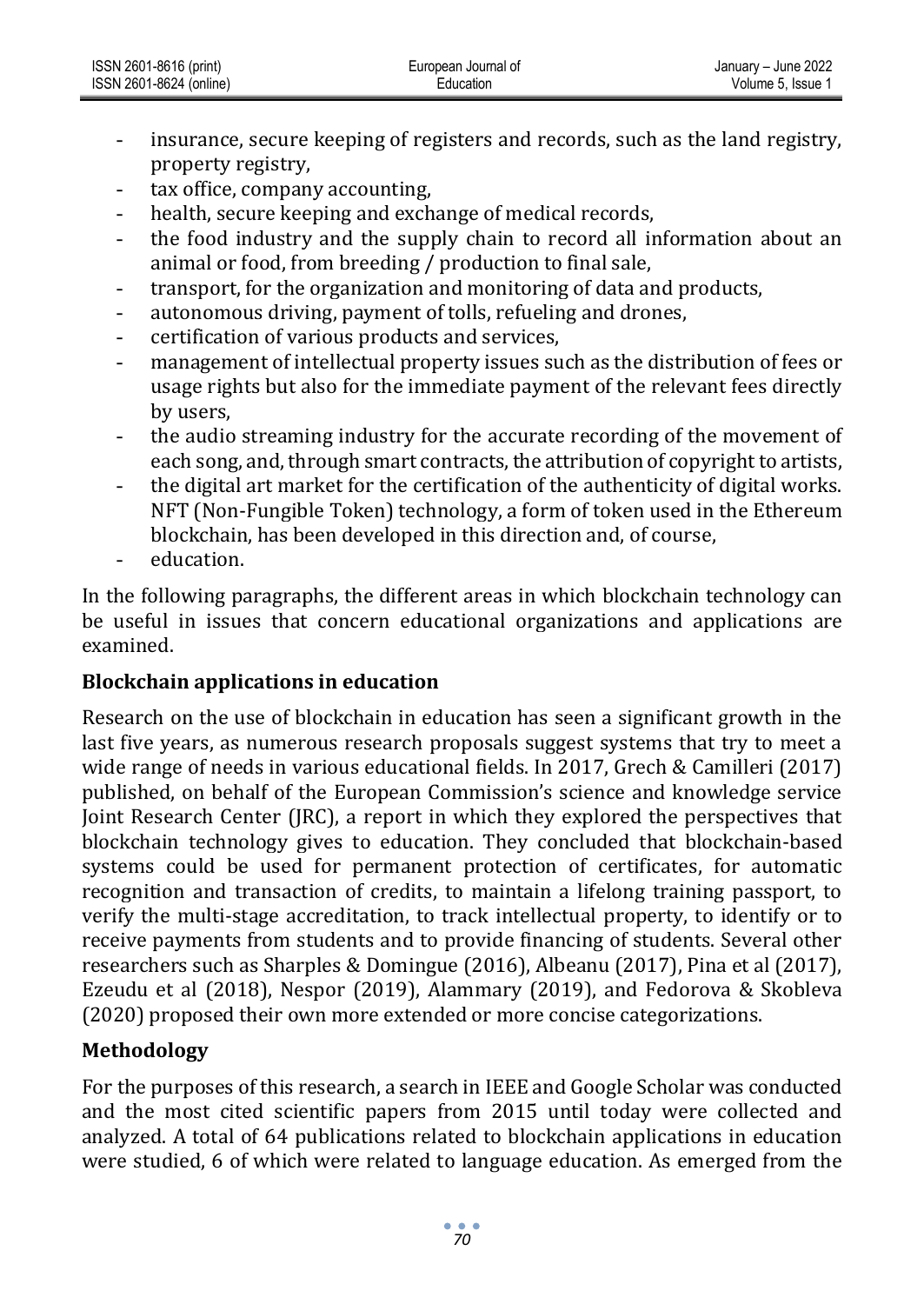- insurance, secure keeping of registers and records, such as the land registry, property registry,
- tax office, company accounting,
- health, secure keeping and exchange of medical records,
- the food industry and the supply chain to record all information about an animal or food, from breeding / production to final sale,
- transport, for the organization and monitoring of data and products,
- autonomous driving, payment of tolls, refueling and drones,
- certification of various products and services,
- management of intellectual property issues such as the distribution of fees or usage rights but also for the immediate payment of the relevant fees directly by users,
- the audio streaming industry for the accurate recording of the movement of each song, and, through smart contracts, the attribution of copyright to artists,
- the digital art market for the certification of the authenticity of digital works. NFT (Non-Fungible Token) technology, a form of token used in the Ethereum blockchain, has been developed in this direction and, of course,
- education.

In the following paragraphs, the different areas in which blockchain technology can be useful in issues that concern educational organizations and applications are examined.

# **Blockchain applications in education**

Research on the use of blockchain in education has seen a significant growth in the last five years, as numerous research proposals suggest systems that try to meet a wide range of needs in various educational fields. In 2017, Grech & Camilleri (2017) published, on behalf of the European Commission's science and knowledge service Joint Research Center (JRC), a report in which they explored the perspectives that blockchain technology gives to education. They concluded that blockchain-based systems could be used for permanent protection of certificates, for automatic recognition and transaction of credits, to maintain a lifelong training passport, to verify the multi-stage accreditation, to track intellectual property, to identify or to receive payments from students and to provide financing of students. Several other researchers such as Sharples & Domingue (2016), Albeanu (2017), Pina et al (2017), Ezeudu et al (2018), Nespor (2019), Alammary (2019), and Fedorova & Skobleva (2020) proposed their own more extended or more concise categorizations.

# **Methodology**

For the purposes of this research, a search in IEEE and Google Scholar was conducted and the most cited scientific papers from 2015 until today were collected and analyzed. A total of 64 publications related to blockchain applications in education were studied, 6 of which were related to language education. As emerged from the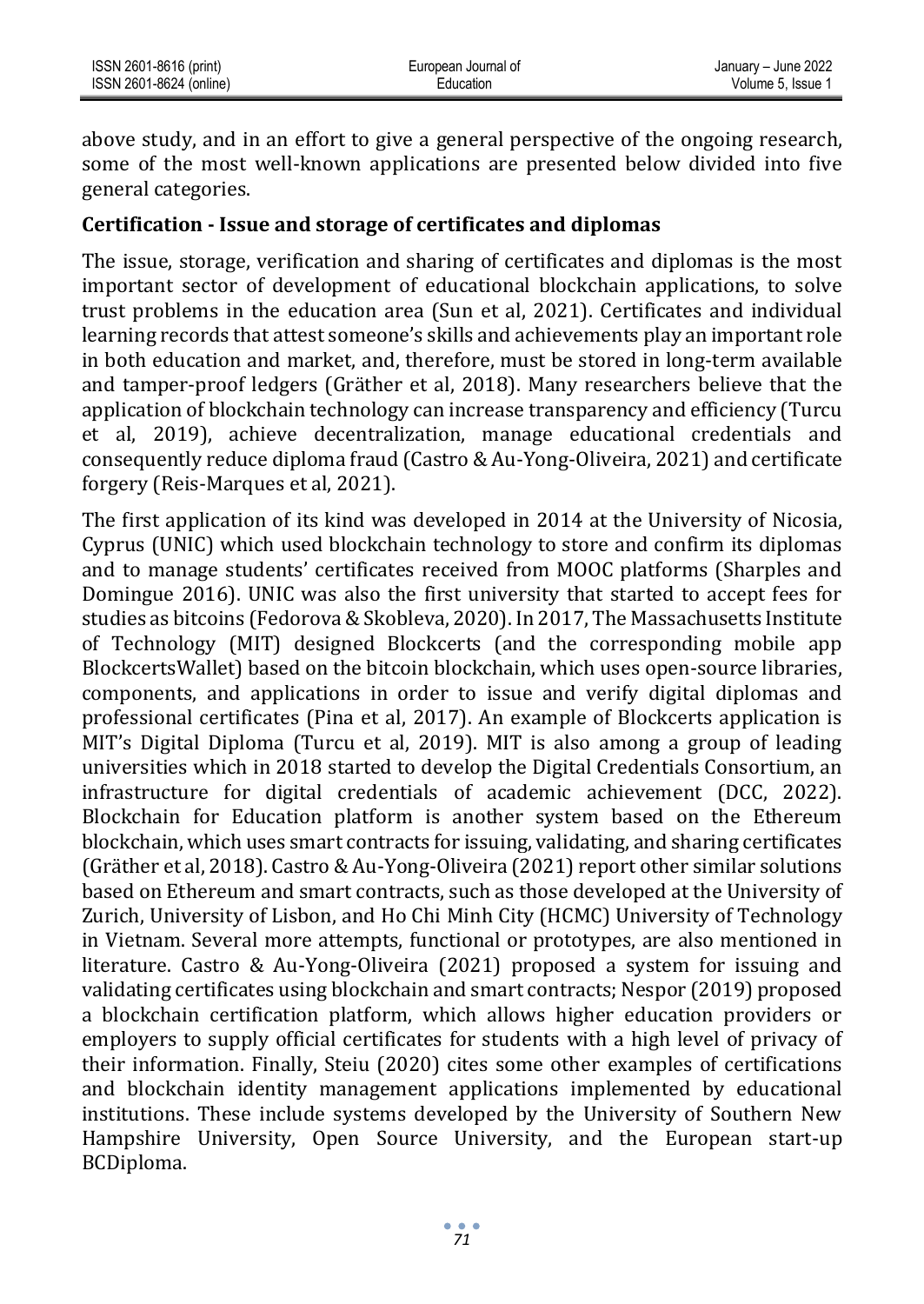above study, and in an effort to give a general perspective of the ongoing research, some of the most well-known applications are presented below divided into five general categories.

#### **Certification - Issue and storage of certificates and diplomas**

The issue, storage, verification and sharing of certificates and diplomas is the most important sector of development of educational blockchain applications, to solve trust problems in the education area (Sun et al, 2021). Certificates and individual learning records that attest someone's skills and achievements play an important role in both education and market, and, therefore, must be stored in long-term available and tamper-proof ledgers (Gräther et al, 2018). Many researchers believe that the application of blockchain technology can increase transparency and efficiency (Turcu et al, 2019), achieve decentralization, manage educational credentials and consequently reduce diploma fraud (Castro & Au-Yong-Oliveira, 2021) and certificate forgery (Reis-Marques et al, 2021).

The first application of its kind was developed in 2014 at the University of Nicosia, Cyprus (UNIC) which used blockchain technology to store and confirm its diplomas and to manage students' certificates received from MOOC platforms (Sharples and Domingue 2016). UNIC was also the first university that started to accept fees for studies as bitcoins (Fedorova & Skobleva, 2020). In 2017, The Massachusetts Institute of Technology (MIT) designed Blockcerts (and the corresponding mobile app BlockcertsWallet) based on the bitcoin blockchain, which uses open-source libraries, components, and applications in order to issue and verify digital diplomas and professional certificates (Pina et al, 2017). An example of Blockcerts application is MIT's Digital Diploma (Turcu et al, 2019). MIT is also among a group of leading universities which in 2018 started to develop the Digital Credentials Consortium, an infrastructure for digital credentials of academic achievement (DCC, 2022). Blockchain for Education platform is another system based on the Ethereum blockchain, which uses smart contracts for issuing, validating, and sharing certificates (Gräther et al, 2018). Castro & Au-Yong-Oliveira (2021) report other similar solutions based on Ethereum and smart contracts, such as those developed at the University of Zurich, University of Lisbon, and Ho Chi Minh City (HCMC) University of Technology in Vietnam. Several more attempts, functional or prototypes, are also mentioned in literature. Castro & Au-Yong-Oliveira (2021) proposed a system for issuing and validating certificates using blockchain and smart contracts; Nespor (2019) proposed a blockchain certification platform, which allows higher education providers or employers to supply official certificates for students with a high level of privacy of their information. Finally, Steiu (2020) cites some other examples of certifications and blockchain identity management applications implemented by educational institutions. These include systems developed by the University of Southern New Hampshire University, Open Source University, and the European start-up BCDiploma.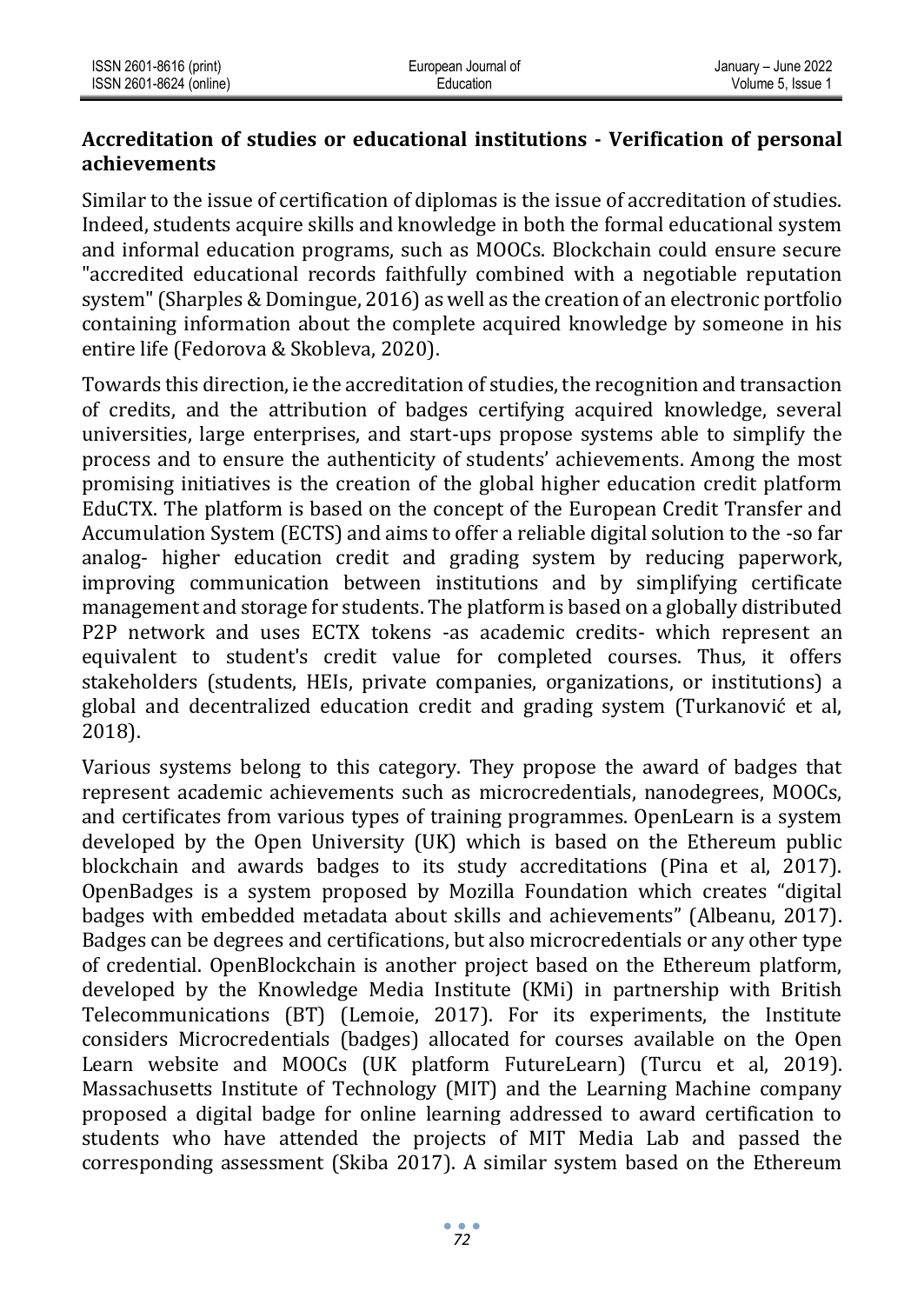### **Accreditation of studies or educational institutions - Verification of personal achievements**

Similar to the issue of certification of diplomas is the issue of accreditation of studies. Indeed, students acquire skills and knowledge in both the formal educational system and informal education programs, such as MOOCs. Blockchain could ensure secure "accredited educational records faithfully combined with a negotiable reputation system" (Sharples & Domingue, 2016) as well as the creation of an electronic portfolio containing information about the complete acquired knowledge by someone in his entire life (Fedorova & Skobleva, 2020).

Towards this direction, ie the accreditation of studies, the recognition and transaction of credits, and the attribution of badges certifying acquired knowledge, several universities, large enterprises, and start-ups propose systems able to simplify the process and to ensure the authenticity of students' achievements. Among the most promising initiatives is the creation of the global higher education credit platform EduCTX. The platform is based on the concept of the European Credit Transfer and Accumulation System (ECTS) and aims to offer a reliable digital solution to the -so far analog- higher education credit and grading system by reducing paperwork, improving communication between institutions and by simplifying certificate management and storage for students. The platform is based on a globally distributed P2P network and uses ECTX tokens -as academic credits- which represent an equivalent to student's credit value for completed courses. Thus, it offers stakeholders (students, HEIs, private companies, organizations, or institutions) a global and decentralized education credit and grading system (Turkanović et al, 2018).

Various systems belong to this category. They propose the award of badges that represent academic achievements such as microcredentials, nanodegrees, MOOCs, and certificates from various types of training programmes. OpenLearn is a system developed by the Open University (UK) which is based on the Ethereum public blockchain and awards badges to its study accreditations (Pina et al, 2017). OpenBadges is a system proposed by Mozilla Foundation which creates "digital badges with embedded metadata about skills and achievements" (Albeanu, 2017). Badges can be degrees and certifications, but also microcredentials or any other type of credential. OpenBlockchain is another project based on the Ethereum platform, developed by the Knowledge Media Institute (KMi) in partnership with British Telecommunications (BT) (Lemoie, 2017). For its experiments, the Institute considers Microcredentials (badges) allocated for courses available on the Open Learn website and MOOCs (UK platform FutureLearn) (Turcu et al, 2019). Massachusetts Institute of Technology (MIT) and the Learning Machine company proposed a digital badge for online learning addressed to award certification to students who have attended the projects of MIT Media Lab and passed the corresponding assessment (Skiba 2017). A similar system based on the Ethereum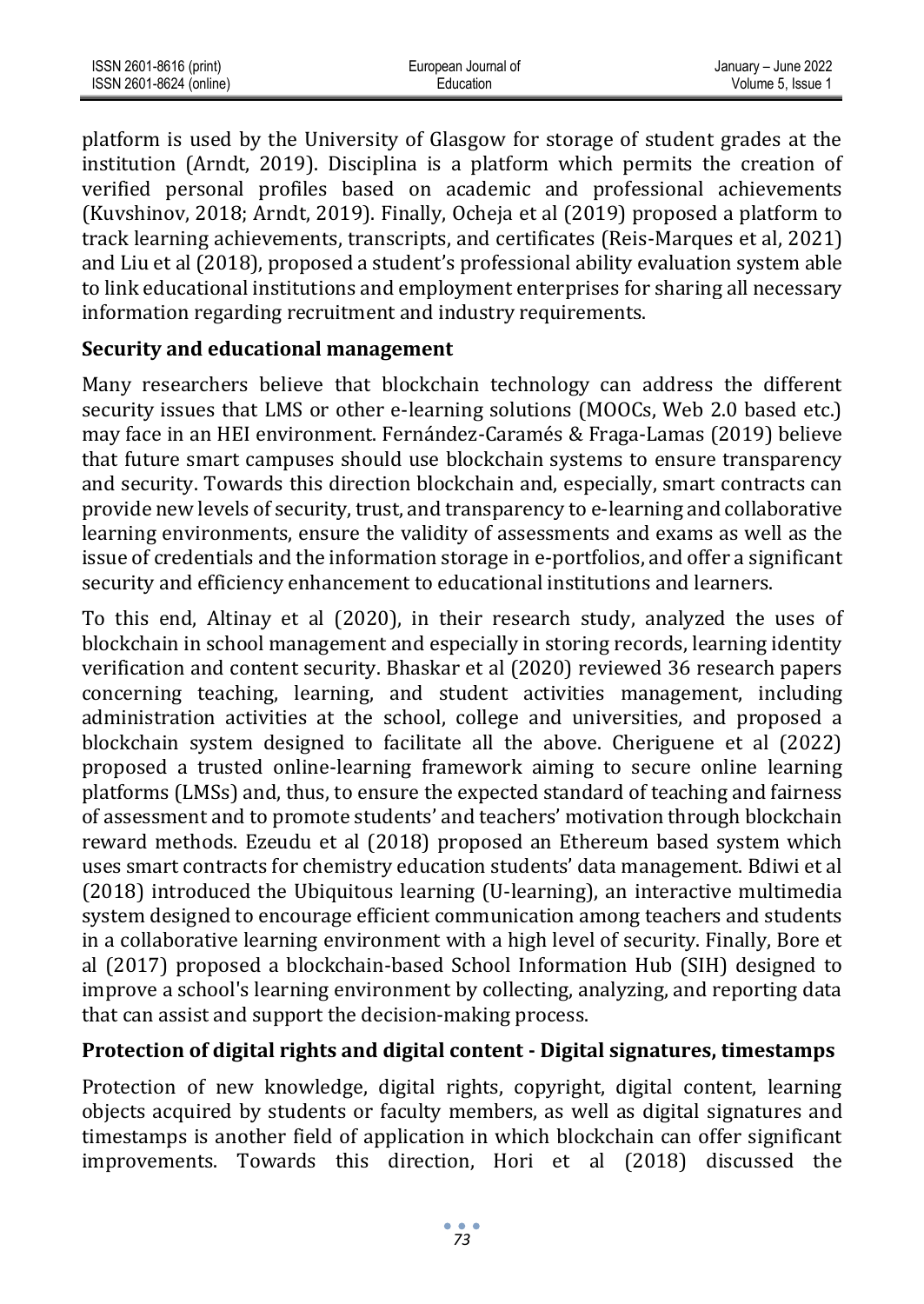| ISSN 2601-8616 (print)  | European Journal of | January - June 2022 |
|-------------------------|---------------------|---------------------|
| ISSN 2601-8624 (online) | ⊑ducation           | Volume 5. Issue 1   |

platform is used by the University of Glasgow for storage of student grades at the institution (Arndt, 2019). Disciplina is a platform which permits the creation of verified personal profiles based on academic and professional achievements (Kuvshinov, 2018; Arndt, 2019). Finally, Ocheja et al (2019) proposed a platform to track learning achievements, transcripts, and certificates (Reis-Marques et al, 2021) and Liu et al (2018), proposed a student's professional ability evaluation system able to link educational institutions and employment enterprises for sharing all necessary information regarding recruitment and industry requirements.

#### **Security and educational management**

Many researchers believe that blockchain technology can address the different security issues that LMS or other e-learning solutions (MOOCs, Web 2.0 based etc.) may face in an HEI environment. Fernández-Caramés & Fraga-Lamas (2019) believe that future smart campuses should use blockchain systems to ensure transparency and security. Towards this direction blockchain and, especially, smart contracts can provide new levels of security, trust, and transparency to e-learning and collaborative learning environments, ensure the validity of assessments and exams as well as the issue of credentials and the information storage in e-portfolios, and offer a significant security and efficiency enhancement to educational institutions and learners.

To this end, Altinay et al (2020), in their research study, analyzed the uses of blockchain in school management and especially in storing records, learning identity verification and content security. Bhaskar et al (2020) reviewed 36 research papers concerning teaching, learning, and student activities management, including administration activities at the school, college and universities, and proposed a blockchain system designed to facilitate all the above. Cheriguene et al (2022) proposed a trusted online-learning framework aiming to secure online learning platforms (LMSs) and, thus, to ensure the expected standard of teaching and fairness of assessment and to promote students' and teachers' motivation through blockchain reward methods. Ezeudu et al (2018) proposed an Ethereum based system which uses smart contracts for chemistry education students' data management. Bdiwi et al (2018) introduced the Ubiquitous learning (U-learning), an interactive multimedia system designed to encourage efficient communication among teachers and students in a collaborative learning environment with a high level of security. Finally, Bore et al (2017) proposed a blockchain-based School Information Hub (SIH) designed to improve a school's learning environment by collecting, analyzing, and reporting data that can assist and support the decision-making process.

#### **Protection of digital rights and digital content - Digital signatures, timestamps**

Protection of new knowledge, digital rights, copyright, digital content, learning objects acquired by students or faculty members, as well as digital signatures and timestamps is another field of application in which blockchain can offer significant improvements. Towards this direction, Hori et al (2018) discussed the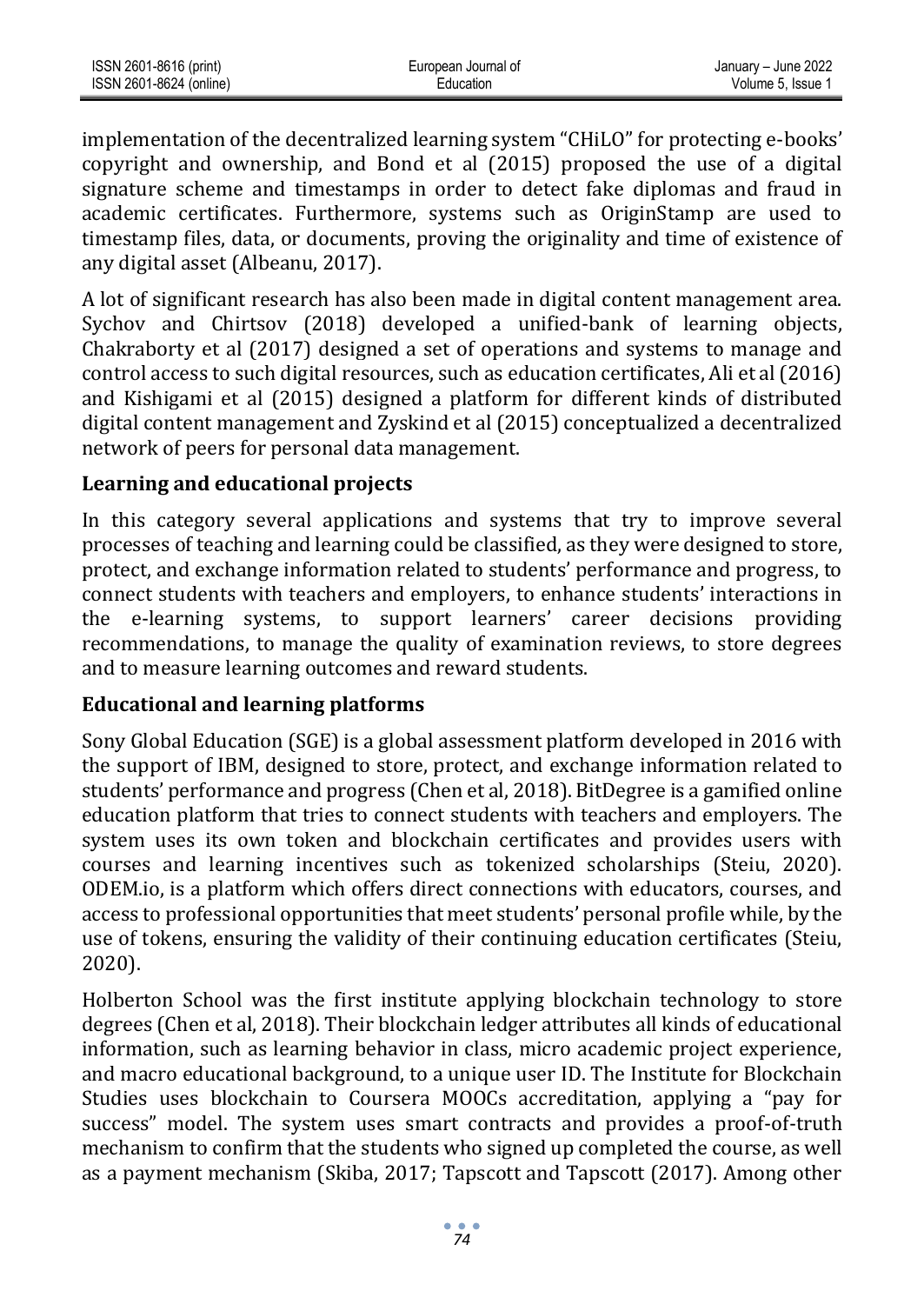| ISSN 2601-8616 (print)  | European Journal of | January - June 2022 |
|-------------------------|---------------------|---------------------|
| ISSN 2601-8624 (online) | Education           | Volume 5. Issue     |

implementation of the decentralized learning system "CHiLO" for protecting e-books' copyright and ownership, and Bond et al (2015) proposed the use of a digital signature scheme and timestamps in order to detect fake diplomas and fraud in academic certificates. Furthermore, systems such as OriginStamp are used to timestamp files, data, or documents, proving the originality and time of existence of any digital asset (Albeanu, 2017).

A lot of significant research has also been made in digital content management area. Sychov and Chirtsov (2018) developed a unified-bank of learning objects, Chakraborty et al (2017) designed a set of operations and systems to manage and control access to such digital resources, such as education certificates, Ali et al (2016) and Kishigami et al (2015) designed a platform for different kinds of distributed digital content management and Zyskind et al (2015) conceptualized a decentralized network of peers for personal data management.

#### **Learning and educational projects**

In this category several applications and systems that try to improve several processes of teaching and learning could be classified, as they were designed to store, protect, and exchange information related to students' performance and progress, to connect students with teachers and employers, to enhance students' interactions in the e-learning systems, to support learners' career decisions providing recommendations, to manage the quality of examination reviews, to store degrees and to measure learning outcomes and reward students.

#### **Educational and learning platforms**

Sony Global Education (SGE) is a global assessment platform developed in 2016 with the support of IBM, designed to store, protect, and exchange information related to students' performance and progress (Chen et al, 2018). BitDegree is a gamified online education platform that tries to connect students with teachers and employers. The system uses its own token and blockchain certificates and provides users with courses and learning incentives such as tokenized scholarships (Steiu, 2020). ODEM.io, is a platform which offers direct connections with educators, courses, and access to professional opportunities that meet students' personal profile while, by the use of tokens, ensuring the validity of their continuing education certificates (Steiu, 2020).

Holberton School was the first institute applying blockchain technology to store degrees (Chen et al, 2018). Their blockchain ledger attributes all kinds of educational information, such as learning behavior in class, micro academic project experience, and macro educational background, to a unique user ID. The Institute for Blockchain Studies uses blockchain to Coursera MOOCs accreditation, applying a "pay for success" model. The system uses smart contracts and provides a proof-of-truth mechanism to confirm that the students who signed up completed the course, as well as a payment mechanism (Skiba, 2017; Tapscott and Tapscott (2017). Among other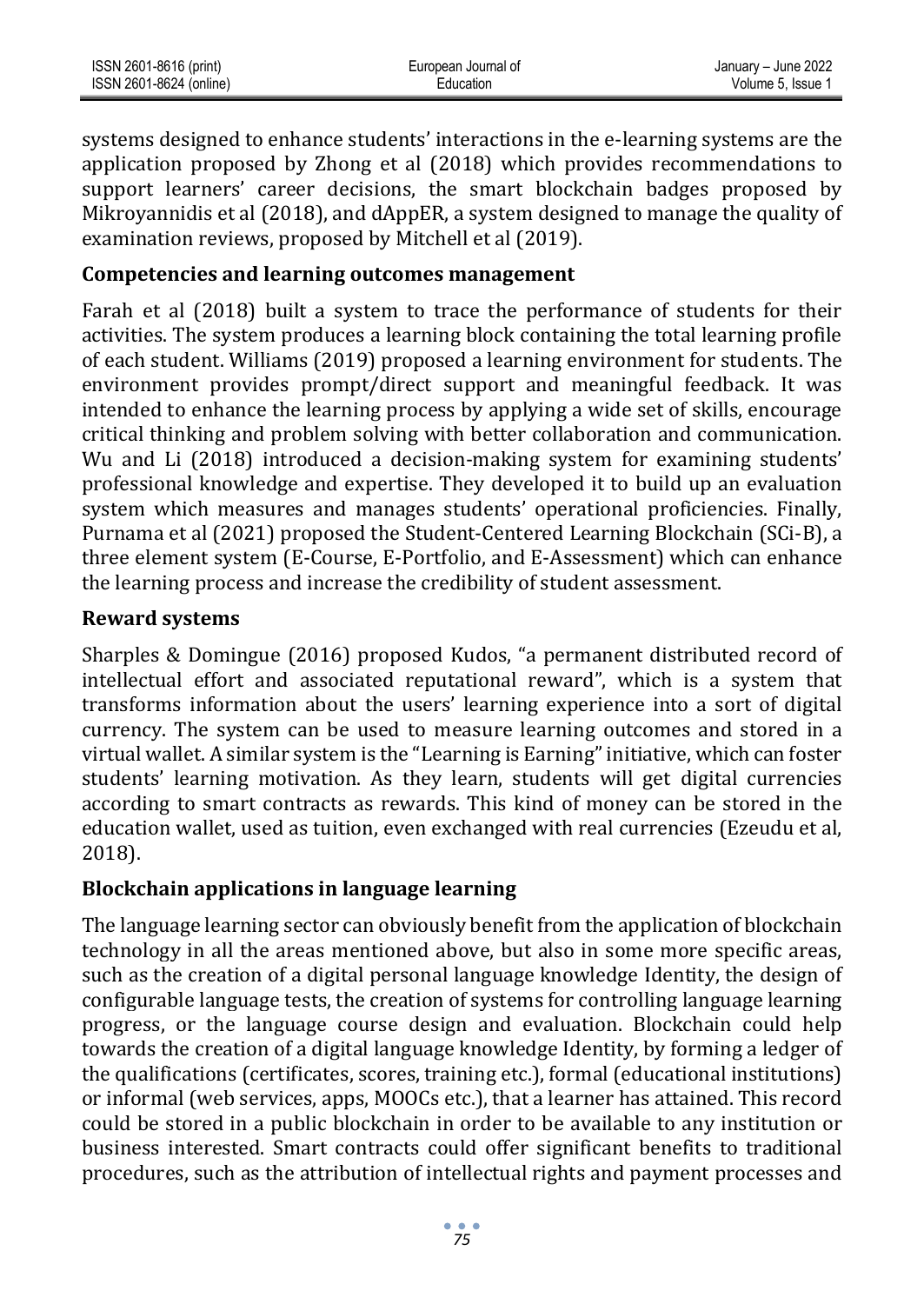| ISSN 2601-8616 (print)  | European Journal of | January - June 2022 |
|-------------------------|---------------------|---------------------|
| ISSN 2601-8624 (online) | Education           | Volume 5. Issue     |

systems designed to enhance students' interactions in the e-learning systems are the application proposed by Zhong et al (2018) which provides recommendations to support learners' career decisions, the smart blockchain badges proposed by Mikroyannidis et al (2018), and dAppER, a system designed to manage the quality of examination reviews, proposed by Mitchell et al (2019).

#### **Competencies and learning outcomes management**

Farah et al (2018) built a system to trace the performance of students for their activities. The system produces a learning block containing the total learning profile of each student. Williams (2019) proposed a learning environment for students. The environment provides prompt/direct support and meaningful feedback. It was intended to enhance the learning process by applying a wide set of skills, encourage critical thinking and problem solving with better collaboration and communication. Wu and Li (2018) introduced a decision-making system for examining students' professional knowledge and expertise. They developed it to build up an evaluation system which measures and manages students' operational proficiencies. Finally, Purnama et al (2021) proposed the Student-Centered Learning Blockchain (SCi-B), a three element system (E-Course, E-Portfolio, and E-Assessment) which can enhance the learning process and increase the credibility of student assessment.

#### **Reward systems**

Sharples & Domingue (2016) proposed Kudos, "a permanent distributed record of intellectual effort and associated reputational reward", which is a system that transforms information about the users' learning experience into a sort of digital currency. The system can be used to measure learning outcomes and stored in a virtual wallet. A similar system is the "Learning is Earning" initiative, which can foster students' learning motivation. As they learn, students will get digital currencies according to smart contracts as rewards. This kind of money can be stored in the education wallet, used as tuition, even exchanged with real currencies (Ezeudu et al, 2018).

#### **Blockchain applications in language learning**

The language learning sector can obviously benefit from the application of blockchain technology in all the areas mentioned above, but also in some more specific areas, such as the creation of a digital personal language knowledge Identity, the design of configurable language tests, the creation of systems for controlling language learning progress, or the language course design and evaluation. Blockchain could help towards the creation of a digital language knowledge Identity, by forming a ledger of the qualifications (certificates, scores, training etc.), formal (educational institutions) or informal (web services, apps, MOOCs etc.), that a learner has attained. This record could be stored in a public blockchain in order to be available to any institution or business interested. Smart contracts could offer significant benefits to traditional procedures, such as the attribution of intellectual rights and payment processes and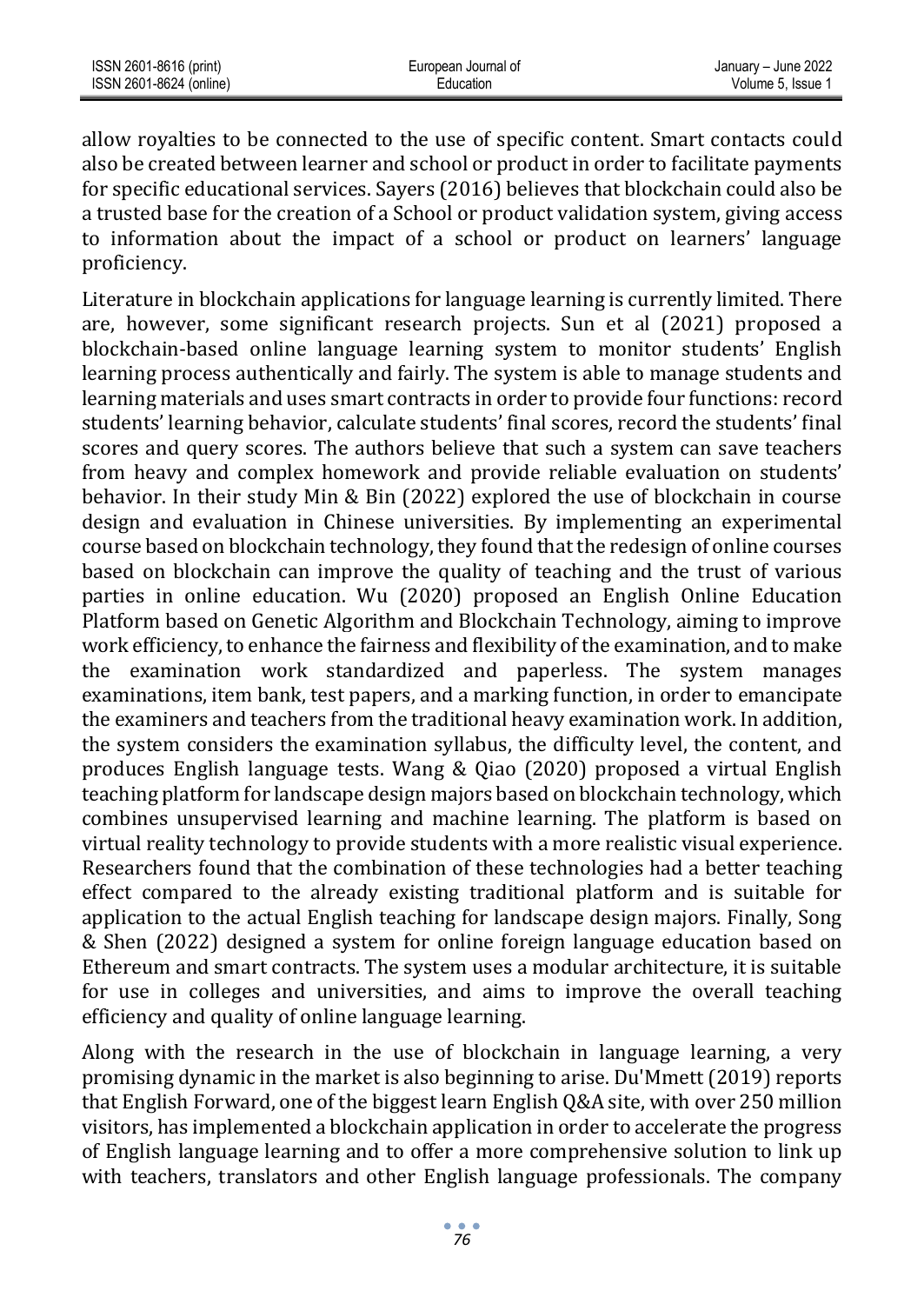| ISSN 2601-8616 (print)  | European Journal of | January - June 2022 |
|-------------------------|---------------------|---------------------|
| ISSN 2601-8624 (online) | Education           | Volume 5. Issue 1   |

allow royalties to be connected to the use of specific content. Smart contacts could also be created between learner and school or product in order to facilitate payments for specific educational services. Sayers (2016) believes that blockchain could also be a trusted base for the creation of a School or product validation system, giving access to information about the impact of a school or product on learners' language proficiency.

Literature in blockchain applications for language learning is currently limited. There are, however, some significant research projects. Sun et al (2021) proposed a blockchain-based online language learning system to monitor students' English learning process authentically and fairly. The system is able to manage students and learning materials and uses smart contracts in order to provide four functions: record students' learning behavior, calculate students' final scores, record the students' final scores and query scores. The authors believe that such a system can save teachers from heavy and complex homework and provide reliable evaluation on students' behavior. In their study Min & Bin (2022) explored the use of blockchain in course design and evaluation in Chinese universities. By implementing an experimental course based on blockchain technology, they found that the redesign of online courses based on blockchain can improve the quality of teaching and the trust of various parties in online education. Wu (2020) proposed an English Online Education Platform based on Genetic Algorithm and Blockchain Technology, aiming to improve work efficiency, to enhance the fairness and flexibility of the examination, and to make the examination work standardized and paperless. The system manages examinations, item bank, test papers, and a marking function, in order to emancipate the examiners and teachers from the traditional heavy examination work. In addition, the system considers the examination syllabus, the difficulty level, the content, and produces English language tests. Wang & Qiao (2020) proposed a virtual English teaching platform for landscape design majors based on blockchain technology, which combines unsupervised learning and machine learning. The platform is based on virtual reality technology to provide students with a more realistic visual experience. Researchers found that the combination of these technologies had a better teaching effect compared to the already existing traditional platform and is suitable for application to the actual English teaching for landscape design majors. Finally, Song & Shen (2022) designed a system for online foreign language education based on Ethereum and smart contracts. The system uses a modular architecture, it is suitable for use in colleges and universities, and aims to improve the overall teaching efficiency and quality of online language learning.

Along with the research in the use of blockchain in language learning, a very promising dynamic in the market is also beginning to arise. Du'Mmett (2019) reports that English Forward, one of the biggest learn English Q&A site, with over 250 million visitors, has implemented a blockchain application in order to accelerate the progress of English language learning and to offer a more comprehensive solution to link up with teachers, translators and other English language professionals. The company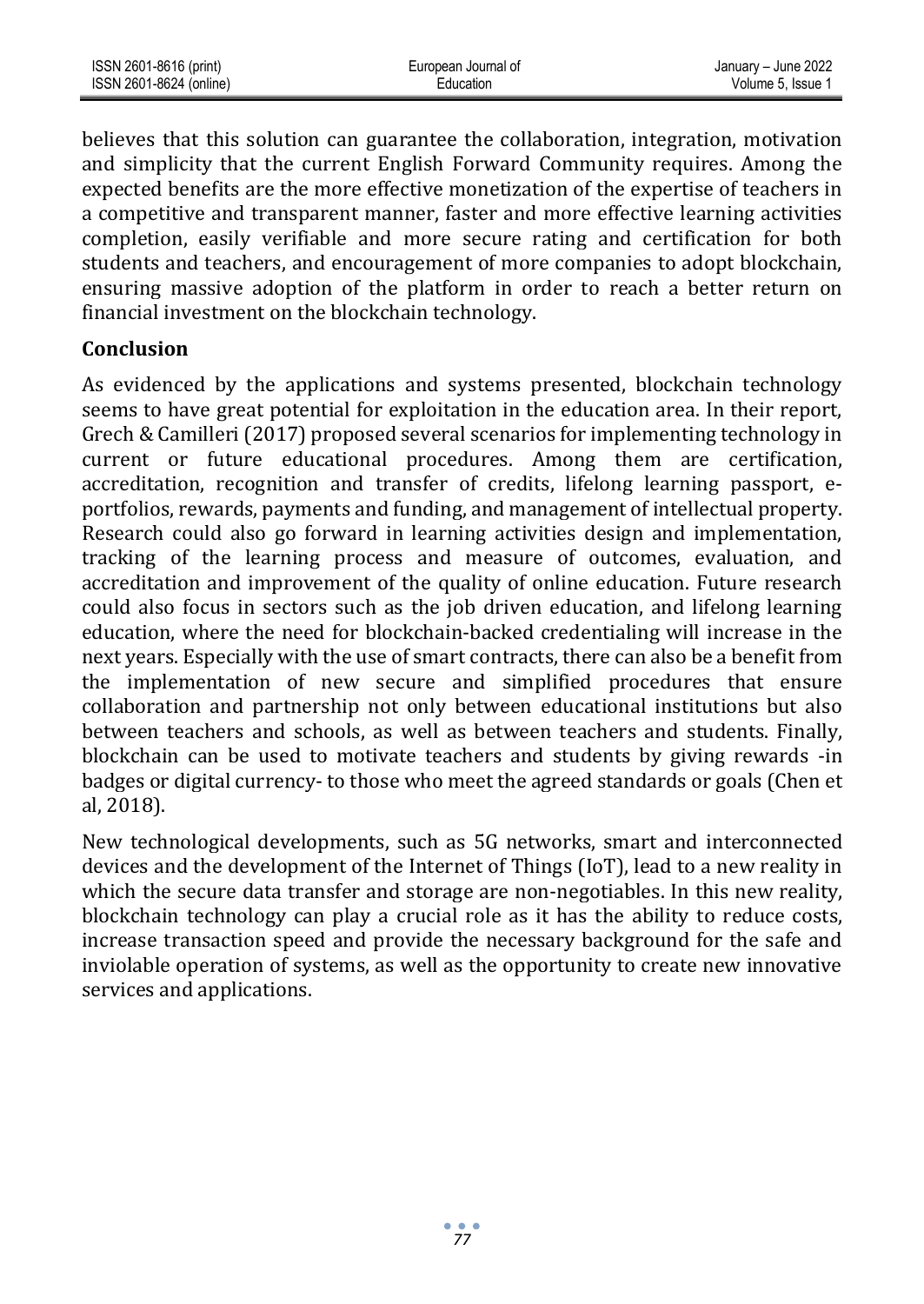| ISSN 2601-8616 (print)  | European Journal of | January - June 2022 |
|-------------------------|---------------------|---------------------|
| ISSN 2601-8624 (online) | Education           | Volume 5. Issue 1   |

believes that this solution can guarantee the collaboration, integration, motivation and simplicity that the current English Forward Community requires. Among the expected benefits are the more effective monetization of the expertise of teachers in a competitive and transparent manner, faster and more effective learning activities completion, easily verifiable and more secure rating and certification for both students and teachers, and encouragement of more companies to adopt blockchain, ensuring massive adoption of the platform in order to reach a better return on financial investment on the blockchain technology.

#### **Conclusion**

As evidenced by the applications and systems presented, blockchain technology seems to have great potential for exploitation in the education area. In their report, Grech & Camilleri (2017) proposed several scenarios for implementing technology in current or future educational procedures. Among them are certification, accreditation, recognition and transfer of credits, lifelong learning passport, eportfolios, rewards, payments and funding, and management of intellectual property. Research could also go forward in learning activities design and implementation, tracking of the learning process and measure of outcomes, evaluation, and accreditation and improvement of the quality of online education. Future research could also focus in sectors such as the job driven education, and lifelong learning education, where the need for blockchain-backed credentialing will increase in the next years. Especially with the use of smart contracts, there can also be a benefit from the implementation of new secure and simplified procedures that ensure collaboration and partnership not only between educational institutions but also between teachers and schools, as well as between teachers and students. Finally, blockchain can be used to motivate teachers and students by giving rewards -in badges or digital currency- to those who meet the agreed standards or goals (Chen et al, 2018).

New technological developments, such as 5G networks, smart and interconnected devices and the development of the Internet of Things (IoT), lead to a new reality in which the secure data transfer and storage are non-negotiables. In this new reality, blockchain technology can play a crucial role as it has the ability to reduce costs, increase transaction speed and provide the necessary background for the safe and inviolable operation of systems, as well as the opportunity to create new innovative services and applications.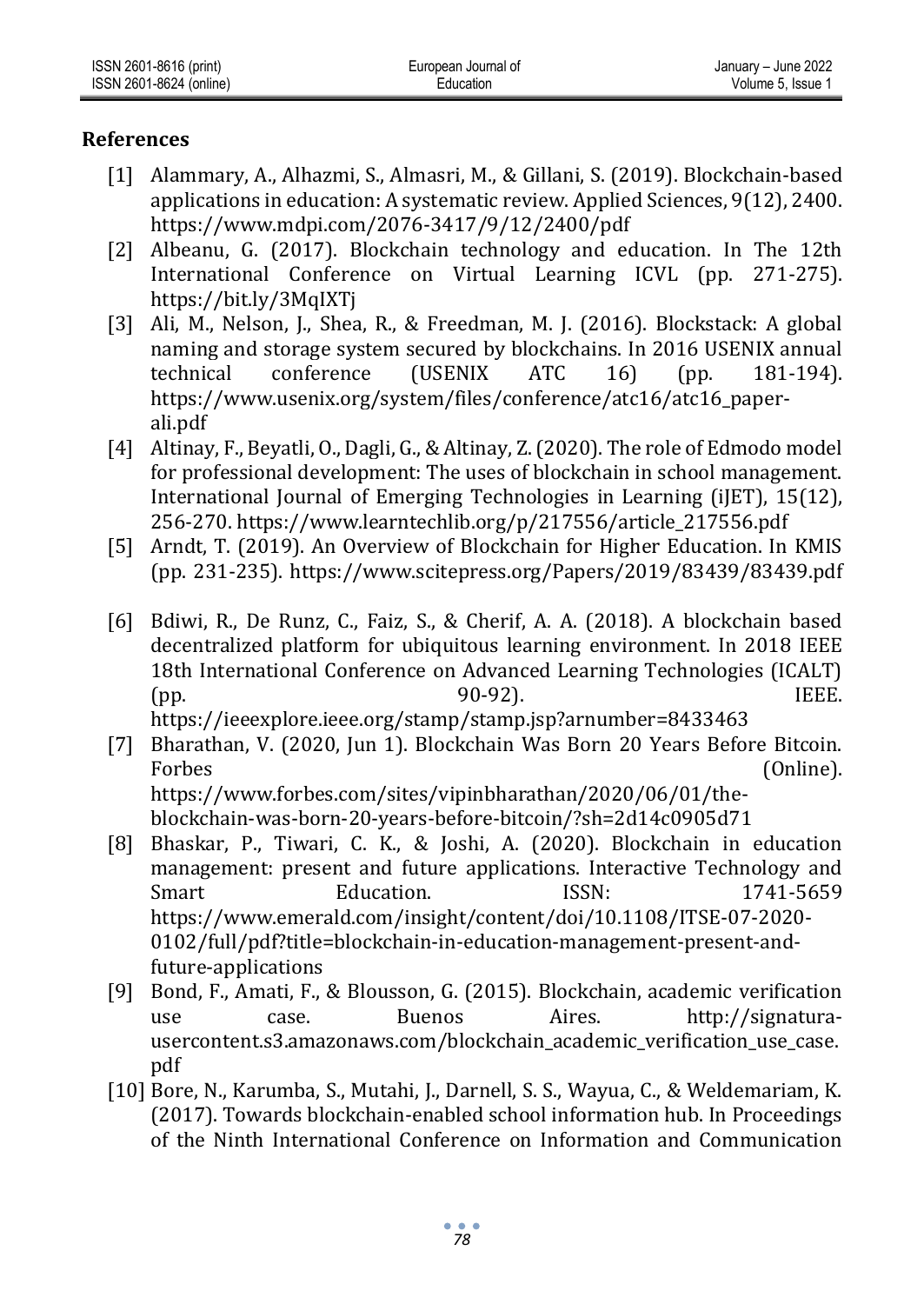### **References**

- [1] Alammary, A., Alhazmi, S., Almasri, M., & Gillani, S. (2019). Blockchain-based applications in education: A systematic review. Applied Sciences, 9(12), 2400. https://www.mdpi.com/2076-3417/9/12/2400/pdf
- [2] Albeanu, G. (2017). Blockchain technology and education. In The 12th International Conference on Virtual Learning ICVL (pp. 271-275). https://bit.ly/3MqIXTj
- [3] Ali, M., Nelson, J., Shea, R., & Freedman, M. J. (2016). Blockstack: A global naming and storage system secured by blockchains. In 2016 USENIX annual technical conference (USENIX ATC 16) (pp. 181-194). https://www.usenix.org/system/files/conference/atc16/atc16\_paperali.pdf
- [4] Altinay, F., Beyatli, O., Dagli, G., & Altinay, Z. (2020). The role of Edmodo model for professional development: The uses of blockchain in school management. International Journal of Emerging Technologies in Learning (iJET), 15(12), 256-270. https://www.learntechlib.org/p/217556/article\_217556.pdf
- [5] Arndt, T. (2019). An Overview of Blockchain for Higher Education. In KMIS (pp. 231-235). https://www.scitepress.org/Papers/2019/83439/83439.pdf
- [6] Bdiwi, R., De Runz, C., Faiz, S., & Cherif, A. A. (2018). A blockchain based decentralized platform for ubiquitous learning environment. In 2018 IEEE 18th International Conference on Advanced Learning Technologies (ICALT) (pp. 90-92). IEEE. https://ieeexplore.ieee.org/stamp/stamp.jsp?arnumber=8433463
- [7] Bharathan, V. (2020, Jun 1). Blockchain Was Born 20 Years Before Bitcoin. Forbes (Online). https://www.forbes.com/sites/vipinbharathan/2020/06/01/theblockchain-was-born-20-years-before-bitcoin/?sh=2d14c0905d71
- [8] Bhaskar, P., Tiwari, C. K., & Joshi, A. (2020). Blockchain in education management: present and future applications. Interactive Technology and Smart Education. ISSN: 1741-5659 https://www.emerald.com/insight/content/doi/10.1108/ITSE-07-2020- 0102/full/pdf?title=blockchain-in-education-management-present-andfuture-applications
- [9] Bond, F., Amati, F., & Blousson, G. (2015). Blockchain, academic verification use case. Buenos Aires. http://signaturausercontent.s3.amazonaws.com/blockchain\_academic\_verification\_use\_case. pdf
- [10] Bore, N., Karumba, S., Mutahi, J., Darnell, S. S., Wayua, C., & Weldemariam, K. (2017). Towards blockchain-enabled school information hub. In Proceedings of the Ninth International Conference on Information and Communication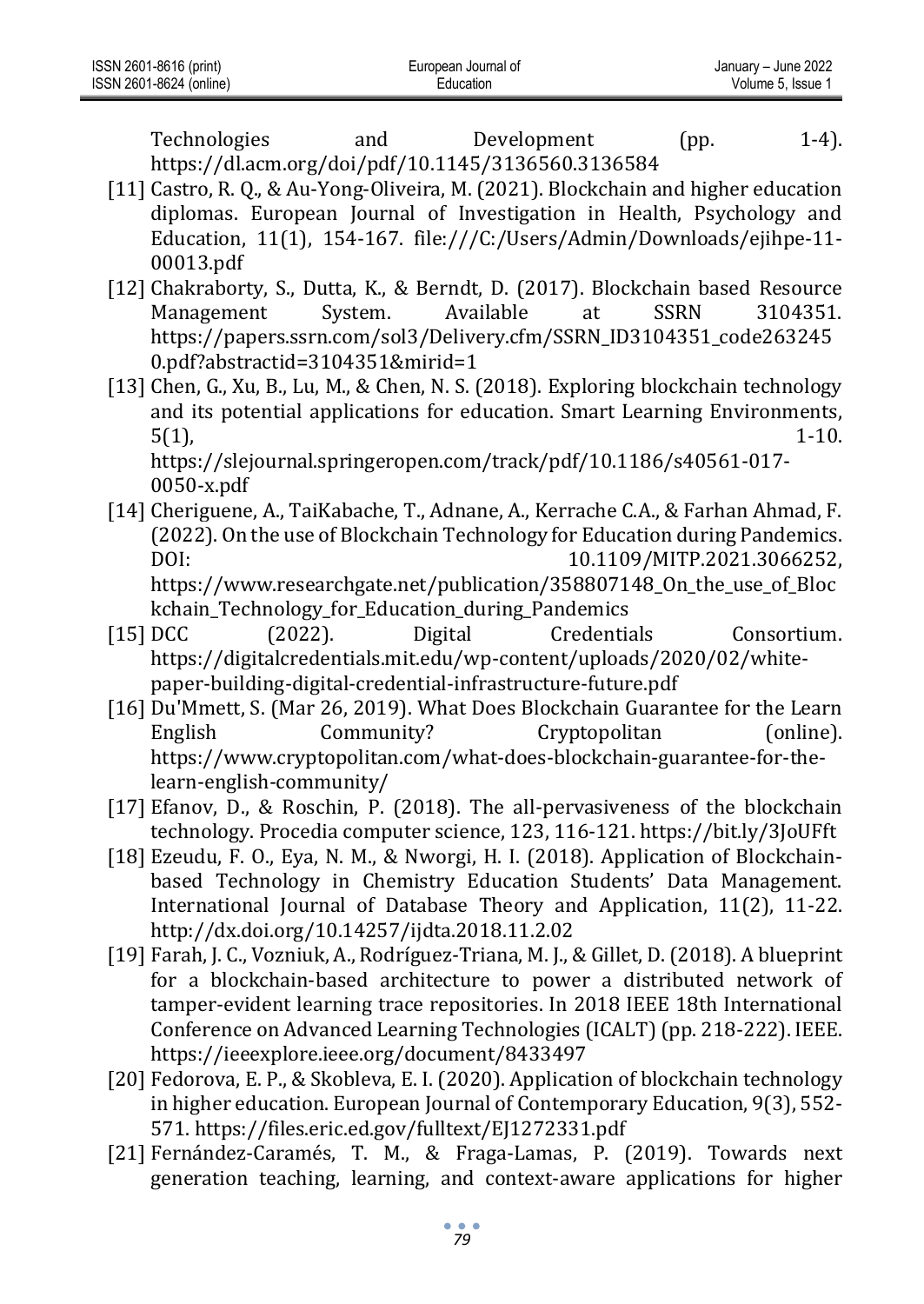| ISSN 2601-8616 (print)  | opean Journal of<br>∟ur | <b>June 2022</b><br>Januarv – |
|-------------------------|-------------------------|-------------------------------|
| ISSN 2601-8624 (online) | ation                   | Issue<br>olume 5              |

Technologies and Development (pp. 1-4). https://dl.acm.org/doi/pdf/10.1145/3136560.3136584

- [11] Castro, R. Q., & Au-Yong-Oliveira, M. (2021). Blockchain and higher education diplomas. European Journal of Investigation in Health, Psychology and Education, 11(1), 154-167. file:///C:/Users/Admin/Downloads/ejihpe-11- 00013.pdf
- [12] Chakraborty, S., Dutta, K., & Berndt, D. (2017). Blockchain based Resource Management System. Available at SSRN 3104351. https://papers.ssrn.com/sol3/Delivery.cfm/SSRN\_ID3104351\_code263245 0.pdf?abstractid=3104351&mirid=1
- [13] Chen, G., Xu, B., Lu, M., & Chen, N. S. (2018). Exploring blockchain technology and its potential applications for education. Smart Learning Environments,  $5(1)$ , 1-10.

https://slejournal.springeropen.com/track/pdf/10.1186/s40561-017- 0050-x.pdf

- [14] Cheriguene, A., TaiKabache, T., Adnane, A., Kerrache C.A., & Farhan Ahmad, F. (2022). On the use of Blockchain Technology for Education during Pandemics. DOI: 10.1109/MITP.2021.3066252. https://www.researchgate.net/publication/358807148\_On\_the\_use\_of\_Bloc kchain\_Technology\_for\_Education\_during\_Pandemics
- [15] DCC (2022). Digital Credentials Consortium. https://digitalcredentials.mit.edu/wp-content/uploads/2020/02/whitepaper-building-digital-credential-infrastructure-future.pdf
- [16] Du'Mmett, S. (Mar 26, 2019). What Does Blockchain Guarantee for the Learn English Community? Cryptopolitan (online). https://www.cryptopolitan.com/what-does-blockchain-guarantee-for-thelearn-english-community/
- [17] Efanov, D., & Roschin, P. (2018). The all-pervasiveness of the blockchain technology. Procedia computer science, 123, 116-121. https://bit.ly/3JoUFft
- [18] Ezeudu, F. O., Eya, N. M., & Nworgi, H. I. (2018). Application of Blockchainbased Technology in Chemistry Education Students' Data Management. International Journal of Database Theory and Application, 11(2), 11-22. http://dx.doi.org/10.14257/ijdta.2018.11.2.02
- [19] Farah, J. C., Vozniuk, A., Rodríguez-Triana, M. J., & Gillet, D. (2018). A blueprint for a blockchain-based architecture to power a distributed network of tamper-evident learning trace repositories. In 2018 IEEE 18th International Conference on Advanced Learning Technologies (ICALT) (pp. 218-222). IEEE. https://ieeexplore.ieee.org/document/8433497
- [20] Fedorova, E. P., & Skobleva, E. I. (2020). Application of blockchain technology in higher education. European Journal of Contemporary Education, 9(3), 552- 571. https://files.eric.ed.gov/fulltext/EJ1272331.pdf
- [21] Fernández-Caramés, T. M., & Fraga-Lamas, P. (2019). Towards next generation teaching, learning, and context-aware applications for higher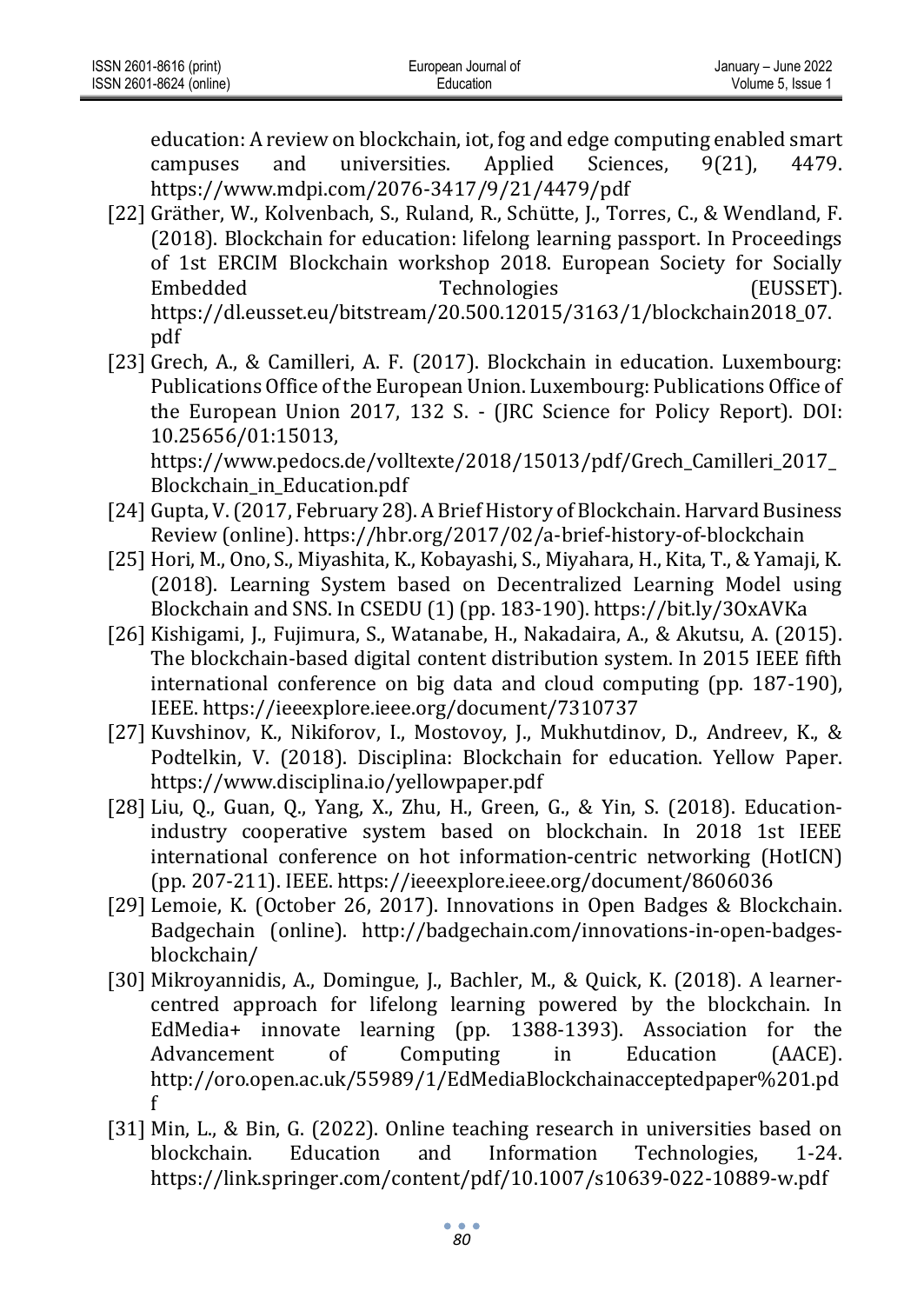| ISSN 2601-8616 (print)  | European Journal of | January - June 2022 |
|-------------------------|---------------------|---------------------|
| ISSN 2601-8624 (online) | Education           | Volume 5. Issue 1   |

education: A review on blockchain, iot, fog and edge computing enabled smart campuses and universities. Applied Sciences, 9(21), 4479. https://www.mdpi.com/2076-3417/9/21/4479/pdf

- [22] Gräther, W., Kolvenbach, S., Ruland, R., Schütte, J., Torres, C., & Wendland, F. (2018). Blockchain for education: lifelong learning passport. In Proceedings of 1st ERCIM Blockchain workshop 2018. European Society for Socially Embedded Technologies (EUSSET). https://dl.eusset.eu/bitstream/20.500.12015/3163/1/blockchain2018\_07. pdf
- [23] Grech, A., & Camilleri, A. F. (2017). Blockchain in education. Luxembourg: Publications Office of the European Union. Luxembourg: Publications Office of the European Union 2017, 132 S. - (JRC Science for Policy Report). DOI: 10.25656/01:15013,

https://www.pedocs.de/volltexte/2018/15013/pdf/Grech\_Camilleri\_2017\_ Blockchain\_in\_Education.pdf

- [24] Gupta, V. (2017, February 28). A Brief History of Blockchain. Harvard Business Review (online). https://hbr.org/2017/02/a-brief-history-of-blockchain
- [25] Hori, M., Ono, S., Miyashita, K., Kobayashi, S., Miyahara, H., Kita, T., & Yamaji, K. (2018). Learning System based on Decentralized Learning Model using Blockchain and SNS. In CSEDU (1) (pp. 183-190). https://bit.ly/3OxAVKa
- [26] Kishigami, J., Fujimura, S., Watanabe, H., Nakadaira, A., & Akutsu, A. (2015). The blockchain-based digital content distribution system. In 2015 IEEE fifth international conference on big data and cloud computing (pp. 187-190), IEEE. https://ieeexplore.ieee.org/document/7310737
- [27] Kuvshinov, K., Nikiforov, I., Mostovoy, J., Mukhutdinov, D., Andreev, K., & Podtelkin, V. (2018). Disciplina: Blockchain for education. Yellow Paper. https://www.disciplina.io/yellowpaper.pdf
- [28] Liu, Q., Guan, Q., Yang, X., Zhu, H., Green, G., & Yin, S. (2018). Educationindustry cooperative system based on blockchain. In 2018 1st IEEE international conference on hot information-centric networking (HotICN) (pp. 207-211). IEEE. https://ieeexplore.ieee.org/document/8606036
- [29] Lemoie, K. (October 26, 2017). Innovations in Open Badges & Blockchain. Badgechain (online). http://badgechain.com/innovations-in-open-badgesblockchain/
- [30] Mikroyannidis, A., Domingue, J., Bachler, M., & Quick, K. (2018). A learnercentred approach for lifelong learning powered by the blockchain. In EdMedia+ innovate learning (pp. 1388-1393). Association for the Advancement of Computing in Education (AACE). http://oro.open.ac.uk/55989/1/EdMediaBlockchainacceptedpaper%201.pd f
- [31] Min, L., & Bin, G. (2022). Online teaching research in universities based on blockchain. Education and Information Technologies, 1-24. https://link.springer.com/content/pdf/10.1007/s10639-022-10889-w.pdf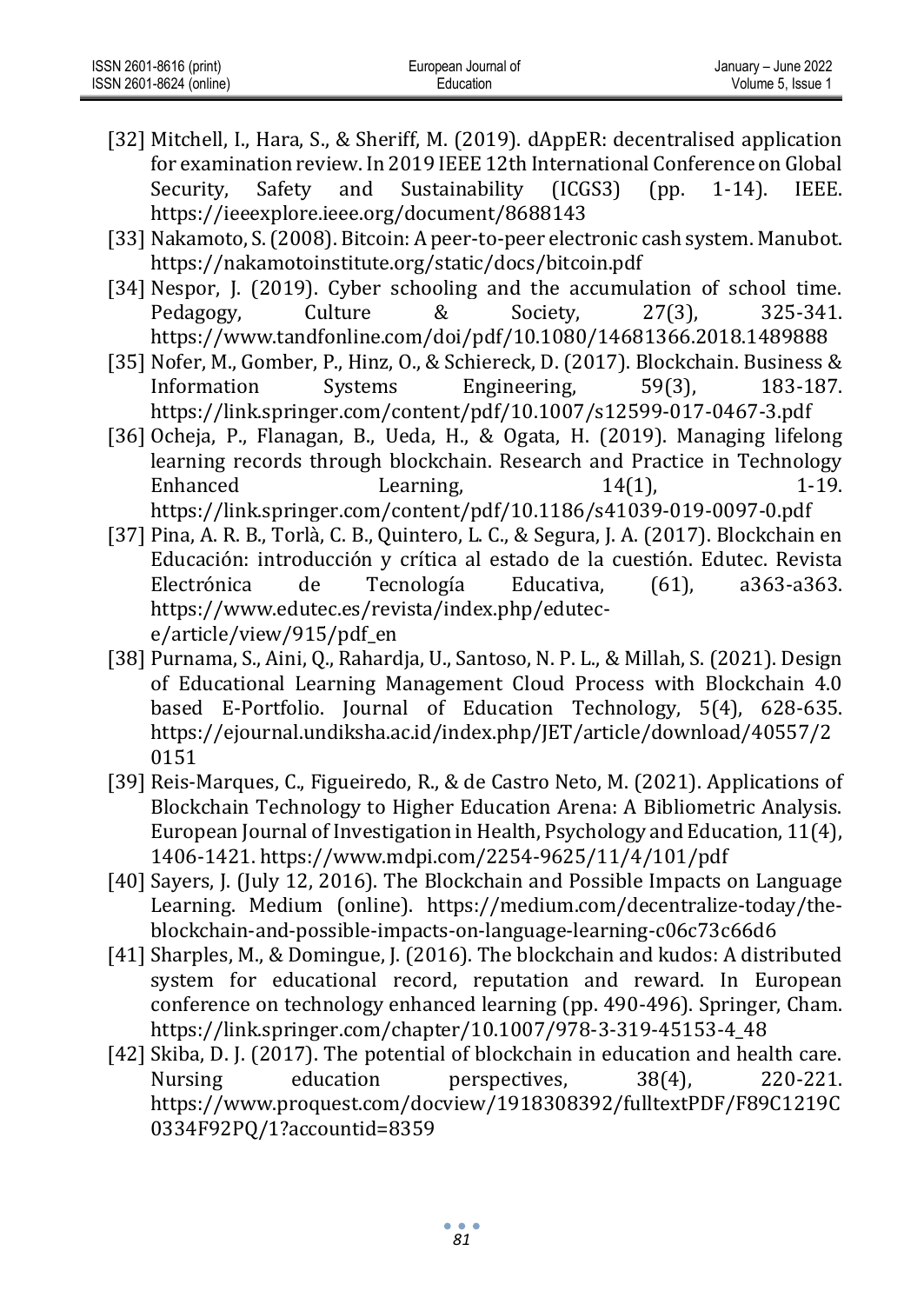| ISSN 2601-8616 (print)  | European Journal of | January - June 2022 |
|-------------------------|---------------------|---------------------|
| ISSN 2601-8624 (online) | Education           | Volume 5. Issue     |

- [32] Mitchell, I., Hara, S., & Sheriff, M. (2019). dAppER: decentralised application for examination review. In 2019 IEEE 12th International Conference on Global Security, Safety and Sustainability (ICGS3) (pp. 1-14). IEEE. https://ieeexplore.ieee.org/document/8688143
- [33] Nakamoto, S. (2008). Bitcoin: A peer-to-peer electronic cash system. Manubot. https://nakamotoinstitute.org/static/docs/bitcoin.pdf
- [34] Nespor, J. (2019). Cyber schooling and the accumulation of school time. Pedagogy, Culture & Society, 27(3), 325-341. https://www.tandfonline.com/doi/pdf/10.1080/14681366.2018.1489888
- [35] Nofer, M., Gomber, P., Hinz, O., & Schiereck, D. (2017). Blockchain. Business & Information Systems Engineering, 59(3), 183-187. https://link.springer.com/content/pdf/10.1007/s12599-017-0467-3.pdf
- [36] Ocheja, P., Flanagan, B., Ueda, H., & Ogata, H. (2019). Managing lifelong learning records through blockchain. Research and Practice in Technology Enhanced Learning, 14(1), 1-19. https://link.springer.com/content/pdf/10.1186/s41039-019-0097-0.pdf
- [37] Pina, A. R. B., Torlà, C. B., Quintero, L. C., & Segura, J. A. (2017). Blockchain en Educación: introducción y crítica al estado de la cuestión. Edutec. Revista Electrónica de Tecnología Educativa, (61), a363-a363. https://www.edutec.es/revista/index.php/edutece/article/view/915/pdf\_en
- [38] Purnama, S., Aini, Q., Rahardja, U., Santoso, N. P. L., & Millah, S. (2021). Design of Educational Learning Management Cloud Process with Blockchain 4.0 based E-Portfolio. Journal of Education Technology, 5(4), 628-635. https://ejournal.undiksha.ac.id/index.php/JET/article/download/40557/2 0151
- [39] Reis-Marques, C., Figueiredo, R., & de Castro Neto, M. (2021). Applications of Blockchain Technology to Higher Education Arena: A Bibliometric Analysis. European Journal of Investigation in Health, Psychology and Education, 11(4), 1406-1421. https://www.mdpi.com/2254-9625/11/4/101/pdf
- [40] Sayers, J. (July 12, 2016). The Blockchain and Possible Impacts on Language Learning. Medium (online). https://medium.com/decentralize-today/theblockchain-and-possible-impacts-on-language-learning-c06c73c66d6
- [41] Sharples, M., & Domingue, J. (2016). The blockchain and kudos: A distributed system for educational record, reputation and reward. In European conference on technology enhanced learning (pp. 490-496). Springer, Cham. https://link.springer.com/chapter/10.1007/978-3-319-45153-4\_48
- [42] Skiba, D. J. (2017). The potential of blockchain in education and health care. Nursing education perspectives, 38(4), 220-221. https://www.proquest.com/docview/1918308392/fulltextPDF/F89C1219C 0334F92PQ/1?accountid=8359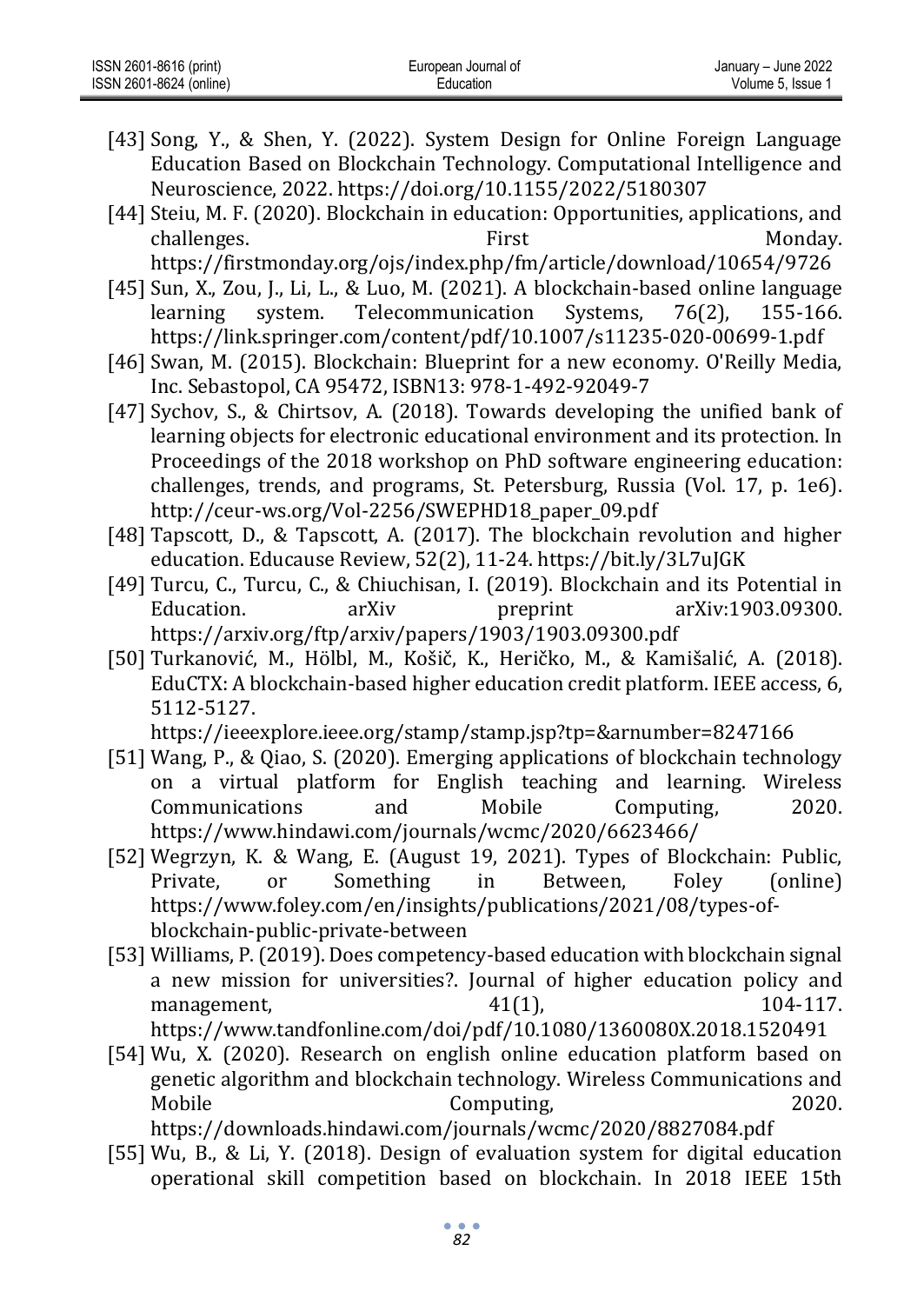- [43] Song, Y., & Shen, Y. (2022). System Design for Online Foreign Language Education Based on Blockchain Technology. Computational Intelligence and Neuroscience, 2022. https://doi.org/10.1155/2022/5180307
- [44] Steiu, M. F. (2020). Blockchain in education: Opportunities, applications, and challenges. The extent of the extent of the First Contract Monday. https://firstmonday.org/ojs/index.php/fm/article/download/10654/9726

[45] Sun, X., Zou, J., Li, L., & Luo, M. (2021). A blockchain-based online language learning system. Telecommunication Systems, 76(2), 155-166. https://link.springer.com/content/pdf/10.1007/s11235-020-00699-1.pdf

- [46] Swan, M. (2015). Blockchain: Blueprint for a new economy. O'Reilly Media, Inc. Sebastopol, CA 95472, ISBN13: 978-1-492-92049-7
- [47] Sychov, S., & Chirtsov, A. (2018). Towards developing the unified bank of learning objects for electronic educational environment and its protection. In Proceedings of the 2018 workshop on PhD software engineering education: challenges, trends, and programs, St. Petersburg, Russia (Vol. 17, p. 1e6). http://ceur-ws.org/Vol-2256/SWEPHD18\_paper\_09.pdf
- [48] Tapscott, D., & Tapscott, A. (2017). The blockchain revolution and higher education. Educause Review, 52(2), 11-24. https://bit.ly/3L7uJGK
- [49] Turcu, C., Turcu, C., & Chiuchisan, I. (2019). Blockchain and its Potential in Education. arXiv preprint arXiv:1903.09300. https://arxiv.org/ftp/arxiv/papers/1903/1903.09300.pdf
- [50] Turkanović, M., Hölbl, M., Košič, K., Heričko, M., & Kamišalić, A. (2018). EduCTX: A blockchain-based higher education credit platform. IEEE access, 6, 5112-5127.

https://ieeexplore.ieee.org/stamp/stamp.jsp?tp=&arnumber=8247166

- [51] Wang, P., & Qiao, S. (2020). Emerging applications of blockchain technology on a virtual platform for English teaching and learning. Wireless Communications and Mobile Computing, 2020. https://www.hindawi.com/journals/wcmc/2020/6623466/
- [52] Wegrzyn, K. & Wang, E. (August 19, 2021). Types of Blockchain: Public, Private, or Something in Between, Foley (online) https://www.foley.com/en/insights/publications/2021/08/types-ofblockchain-public-private-between
- [53] Williams, P. (2019). Does competency-based education with blockchain signal a new mission for universities?. Journal of higher education policy and management, 104-117. https://www.tandfonline.com/doi/pdf/10.1080/1360080X.2018.1520491
- [54] Wu, X. (2020). Research on english online education platform based on genetic algorithm and blockchain technology. Wireless Communications and Mobile Computing, 2020. https://downloads.hindawi.com/journals/wcmc/2020/8827084.pdf
- [55] Wu, B., & Li, Y. (2018). Design of evaluation system for digital education operational skill competition based on blockchain. In 2018 IEEE 15th